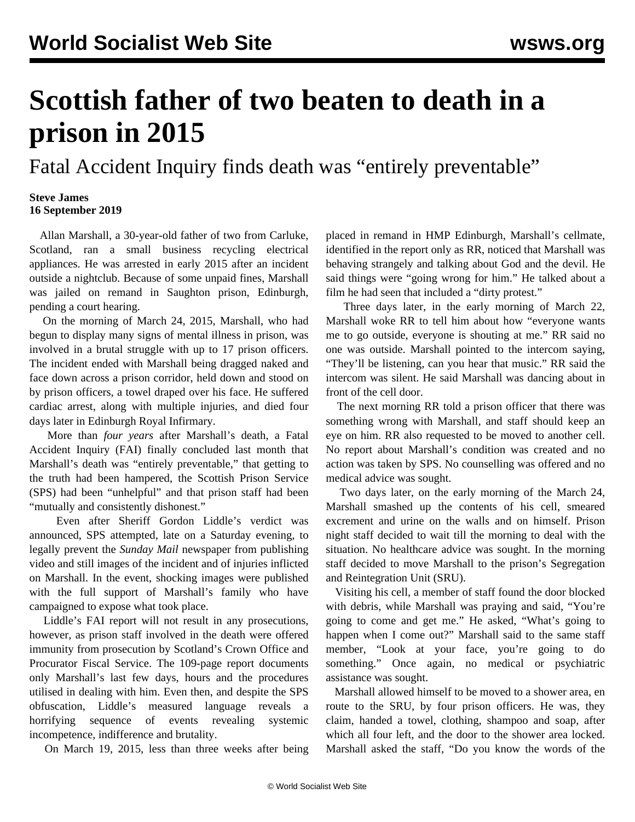## **Scottish father of two beaten to death in a prison in 2015**

Fatal Accident Inquiry finds death was "entirely preventable"

## **Steve James 16 September 2019**

 Allan Marshall, a 30-year-old father of two from Carluke, Scotland, ran a small business recycling electrical appliances. He was arrested in early 2015 after an incident outside a nightclub. Because of some unpaid fines, Marshall was jailed on remand in Saughton prison, Edinburgh, pending a court hearing.

 On the morning of March 24, 2015, Marshall, who had begun to display many signs of mental illness in prison, was involved in a brutal struggle with up to 17 prison officers. The incident ended with Marshall being dragged naked and face down across a prison corridor, held down and stood on by prison officers, a towel draped over his face. He suffered cardiac arrest, along with multiple injuries, and died four days later in Edinburgh Royal Infirmary.

 More than *four years* after Marshall's death, a Fatal Accident Inquiry (FAI) finally concluded last month that Marshall's death was "entirely preventable," that getting to the truth had been hampered, the Scottish Prison Service (SPS) had been "unhelpful" and that prison staff had been "mutually and consistently dishonest."

 Even after Sheriff Gordon Liddle's verdict was announced, SPS attempted, late on a Saturday evening, to legally prevent the *Sunday Mail* newspaper from publishing video and still images of the incident and of injuries inflicted on Marshall. In the event, [shocking images](https://www.dailyrecord.co.uk/news/scottish-news/shocking-images-show-naked-inmate-19000787) were published with the full support of Marshall's family who have campaigned to expose what took place.

 Liddle's FAI report will not result in any prosecutions, however, as prison staff involved in the death were offered immunity from prosecution by Scotland's Crown Office and Procurator Fiscal Service. The 109-page report documents only Marshall's last few days, hours and the procedures utilised in dealing with him. Even then, and despite the SPS obfuscation, Liddle's measured language reveals a horrifying sequence of events revealing systemic incompetence, indifference and brutality.

On March 19, 2015, less than three weeks after being

placed in remand in HMP Edinburgh, Marshall's cellmate, identified in the report only as RR, noticed that Marshall was behaving strangely and talking about God and the devil. He said things were "going wrong for him." He talked about a film he had seen that included a "dirty protest."

 Three days later, in the early morning of March 22, Marshall woke RR to tell him about how "everyone wants me to go outside, everyone is shouting at me." RR said no one was outside. Marshall pointed to the intercom saying, "They'll be listening, can you hear that music." RR said the intercom was silent. He said Marshall was dancing about in front of the cell door.

 The next morning RR told a prison officer that there was something wrong with Marshall, and staff should keep an eye on him. RR also requested to be moved to another cell. No report about Marshall's condition was created and no action was taken by SPS. No counselling was offered and no medical advice was sought.

 Two days later, on the early morning of the March 24, Marshall smashed up the contents of his cell, smeared excrement and urine on the walls and on himself. Prison night staff decided to wait till the morning to deal with the situation. No healthcare advice was sought. In the morning staff decided to move Marshall to the prison's Segregation and Reintegration Unit (SRU).

 Visiting his cell, a member of staff found the door blocked with debris, while Marshall was praying and said, "You're going to come and get me." He asked, "What's going to happen when I come out?" Marshall said to the same staff member, "Look at your face, you're going to do something." Once again, no medical or psychiatric assistance was sought.

 Marshall allowed himself to be moved to a shower area, en route to the SRU, by four prison officers. He was, they claim, handed a towel, clothing, shampoo and soap, after which all four left, and the door to the shower area locked. Marshall asked the staff, "Do you know the words of the